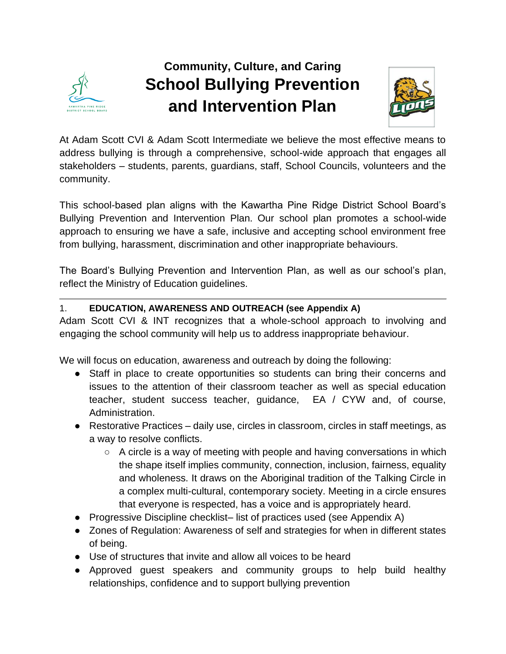

# **Community, Culture, and Caring School Bullying Prevention and Intervention Plan**



At Adam Scott CVI & Adam Scott Intermediate we believe the most effective means to address bullying is through a comprehensive, school-wide approach that engages all stakeholders – students, parents, guardians, staff, School Councils, volunteers and the community.

This school-based plan aligns with the Kawartha Pine Ridge District School Board's Bullying Prevention and Intervention Plan. Our school plan promotes a school-wide approach to ensuring we have a safe, inclusive and accepting school environment free from bullying, harassment, discrimination and other inappropriate behaviours.

The Board's Bullying Prevention and Intervention Plan, as well as our school's plan, reflect the Ministry of Education guidelines.

#### 1. **EDUCATION, AWARENESS AND OUTREACH (see Appendix A)**

Adam Scott CVI & INT recognizes that a whole-school approach to involving and engaging the school community will help us to address inappropriate behaviour.

We will focus on education, awareness and outreach by doing the following:

- Staff in place to create opportunities so students can bring their concerns and issues to the attention of their classroom teacher as well as special education teacher, student success teacher, guidance, EA / CYW and, of course, Administration.
- Restorative Practices daily use, circles in classroom, circles in staff meetings, as a way to resolve conflicts.
	- $\circ$  A circle is a way of meeting with people and having conversations in which the shape itself implies community, connection, inclusion, fairness, equality and wholeness. It draws on the Aboriginal tradition of the Talking Circle in a complex multi-cultural, contemporary society. Meeting in a circle ensures that everyone is respected, has a voice and is appropriately heard.
- Progressive Discipline checklist– list of practices used (see Appendix A)
- Zones of Regulation: Awareness of self and strategies for when in different states of being.
- Use of structures that invite and allow all voices to be heard
- Approved guest speakers and community groups to help build healthy relationships, confidence and to support bullying prevention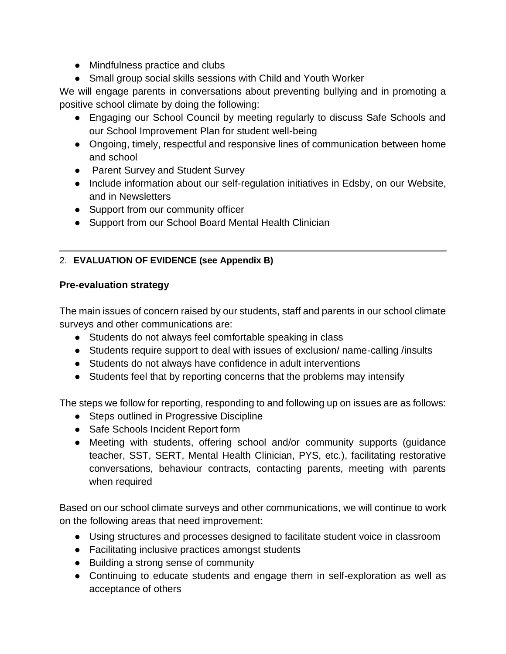- Mindfulness practice and clubs
- Small group social skills sessions with Child and Youth Worker

We will engage parents in conversations about preventing bullying and in promoting a positive school climate by doing the following:

- Engaging our School Council by meeting regularly to discuss Safe Schools and our School Improvement Plan for student well-being
- Ongoing, timely, respectful and responsive lines of communication between home and school
- Parent Survey and Student Survey
- Include information about our self-regulation initiatives in Edsby, on our Website, and in Newsletters
- Support from our community officer
- Support from our School Board Mental Health Clinician

# 2. **EVALUATION OF EVIDENCE (see Appendix B)**

### **Pre-evaluation strategy**

The main issues of concern raised by our students, staff and parents in our school climate surveys and other communications are:

- Students do not always feel comfortable speaking in class
- Students require support to deal with issues of exclusion/ name-calling /insults
- Students do not always have confidence in adult interventions
- Students feel that by reporting concerns that the problems may intensify

The steps we follow for reporting, responding to and following up on issues are as follows:

- Steps outlined in Progressive Discipline
- Safe Schools Incident Report form
- Meeting with students, offering school and/or community supports (guidance teacher, SST, SERT, Mental Health Clinician, PYS, etc.), facilitating restorative conversations, behaviour contracts, contacting parents, meeting with parents when required

Based on our school climate surveys and other communications, we will continue to work on the following areas that need improvement:

- Using structures and processes designed to facilitate student voice in classroom
- Facilitating inclusive practices amongst students
- Building a strong sense of community
- Continuing to educate students and engage them in self-exploration as well as acceptance of others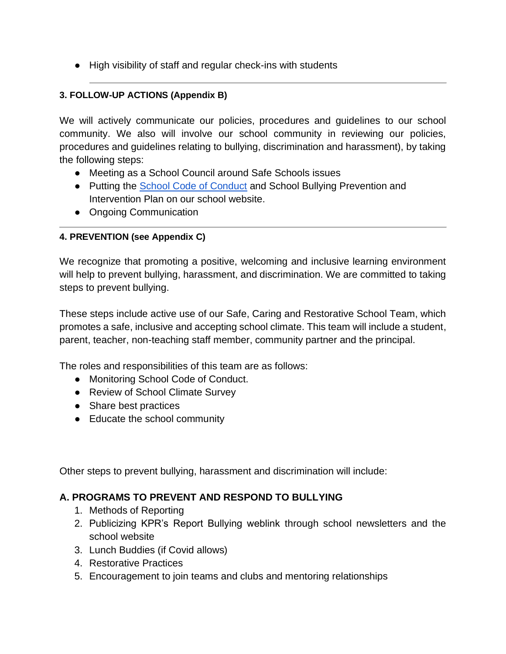● High visibility of staff and regular check-ins with students

#### **3. FOLLOW-UP ACTIONS (Appendix B)**

We will actively communicate our policies, procedures and guidelines to our school community. We also will involve our school community in reviewing our policies, procedures and guidelines relating to bullying, discrimination and harassment), by taking the following steps:

- Meeting as a School Council around Safe Schools issues
- Putting the [School Code of Conduct](https://docs.google.com/document/d/1FtwT7itHaYiIvaX4fwiSez-HxCjw6iMC7vyZ7V9a8V4/edit?usp=sharing) and School Bullying Prevention and Intervention Plan on our school website.
- Ongoing Communication

#### **4. PREVENTION (see Appendix C)**

We recognize that promoting a positive, welcoming and inclusive learning environment will help to prevent bullying, harassment, and discrimination. We are committed to taking steps to prevent bullying.

These steps include active use of our Safe, Caring and Restorative School Team, which promotes a safe, inclusive and accepting school climate. This team will include a student, parent, teacher, non-teaching staff member, community partner and the principal.

The roles and responsibilities of this team are as follows:

- Monitoring School Code of Conduct.
- Review of School Climate Survey
- Share best practices
- Educate the school community

Other steps to prevent bullying, harassment and discrimination will include:

# **A. PROGRAMS TO PREVENT AND RESPOND TO BULLYING**

- 1. Methods of Reporting
- 2. Publicizing KPR's Report Bullying weblink through school newsletters and the school website
- 3. Lunch Buddies (if Covid allows)
- 4. Restorative Practices
- 5. Encouragement to join teams and clubs and mentoring relationships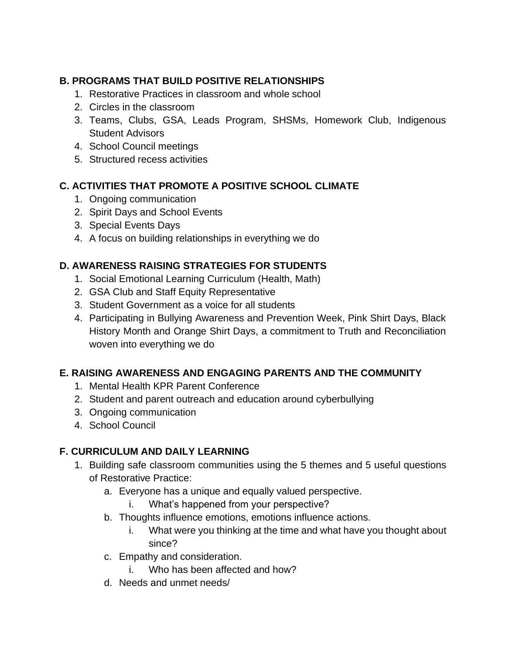# **B. PROGRAMS THAT BUILD POSITIVE RELATIONSHIPS**

- 1. Restorative Practices in classroom and whole school
- 2. Circles in the classroom
- 3. Teams, Clubs, GSA, Leads Program, SHSMs, Homework Club, Indigenous Student Advisors
- 4. School Council meetings
- 5. Structured recess activities

# **C. ACTIVITIES THAT PROMOTE A POSITIVE SCHOOL CLIMATE**

- 1. Ongoing communication
- 2. Spirit Days and School Events
- 3. Special Events Days
- 4. A focus on building relationships in everything we do

# **D. AWARENESS RAISING STRATEGIES FOR STUDENTS**

- 1. Social Emotional Learning Curriculum (Health, Math)
- 2. GSA Club and Staff Equity Representative
- 3. Student Government as a voice for all students
- 4. Participating in Bullying Awareness and Prevention Week, Pink Shirt Days, Black History Month and Orange Shirt Days, a commitment to Truth and Reconciliation woven into everything we do

# **E. RAISING AWARENESS AND ENGAGING PARENTS AND THE COMMUNITY**

- 1. Mental Health KPR Parent Conference
- 2. Student and parent outreach and education around cyberbullying
- 3. Ongoing communication
- 4. School Council

# **F. CURRICULUM AND DAILY LEARNING**

- 1. Building safe classroom communities using the 5 themes and 5 useful questions of Restorative Practice:
	- a. Everyone has a unique and equally valued perspective.
		- i. What's happened from your perspective?
	- b. Thoughts influence emotions, emotions influence actions.
		- i. What were you thinking at the time and what have you thought about since?
	- c. Empathy and consideration.
		- i. Who has been affected and how?
	- d. Needs and unmet needs/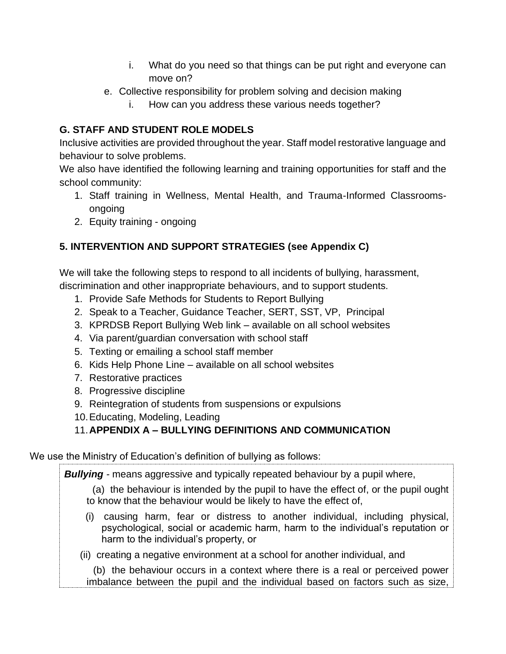- i. What do you need so that things can be put right and everyone can move on?
- e. Collective responsibility for problem solving and decision making
	- i. How can you address these various needs together?

# **G. STAFF AND STUDENT ROLE MODELS**

Inclusive activities are provided throughout the year. Staff model restorative language and behaviour to solve problems.

We also have identified the following learning and training opportunities for staff and the school community:

- 1. Staff training in Wellness, Mental Health, and Trauma-Informed Classroomsongoing
- 2. Equity training ongoing

# **5. INTERVENTION AND SUPPORT STRATEGIES (see Appendix C)**

We will take the following steps to respond to all incidents of bullying, harassment, discrimination and other inappropriate behaviours, and to support students.

- 1. Provide Safe Methods for Students to Report Bullying
- 2. Speak to a Teacher, Guidance Teacher, SERT, SST, VP, Principal
- 3. KPRDSB Report Bullying Web link available on all school websites
- 4. Via parent/guardian conversation with school staff
- 5. Texting or emailing a school staff member
- 6. Kids Help Phone Line available on all school websites
- 7. Restorative practices
- 8. Progressive discipline
- 9. Reintegration of students from suspensions or expulsions
- 10.Educating, Modeling, Leading

# 11.**APPENDIX A – BULLYING DEFINITIONS AND COMMUNICATION**

We use the Ministry of Education's definition of bullying as follows:

*Bullying -* means aggressive and typically repeated behaviour by a pupil where,

(a) the behaviour is intended by the pupil to have the effect of, or the pupil ought to know that the behaviour would be likely to have the effect of,

- (i) causing harm, fear or distress to another individual, including physical, psychological, social or academic harm, harm to the individual's reputation or harm to the individual's property, or
- (ii) creating a negative environment at a school for another individual, and

(b) the behaviour occurs in a context where there is a real or perceived power imbalance between the pupil and the individual based on factors such as size,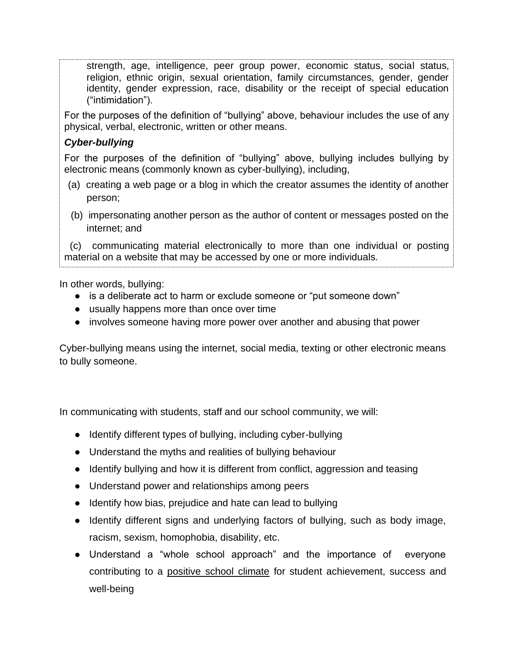strength, age, intelligence, peer group power, economic status, social status, religion, ethnic origin, sexual orientation, family circumstances, gender, gender identity, gender expression, race, disability or the receipt of special education ("intimidation").

For the purposes of the definition of "bullying" above, behaviour includes the use of any physical, verbal, electronic, written or other means.

#### *Cyber-bullying*

For the purposes of the definition of "bullying" above, bullying includes bullying by electronic means (commonly known as cyber-bullying), including,

- (a) creating a web page or a blog in which the creator assumes the identity of another person;
- (b) impersonating another person as the author of content or messages posted on the internet; and

 (c) communicating material electronically to more than one individual or posting material on a website that may be accessed by one or more individuals.

In other words, bullying:

- is a deliberate act to harm or exclude someone or "put someone down"
- usually happens more than once over time
- involves someone having more power over another and abusing that power

Cyber-bullying means using the internet, social media, texting or other electronic means to bully someone.

In communicating with students, staff and our school community, we will:

- Identify different types of bullying, including cyber-bullying
- Understand the myths and realities of bullying behaviour
- Identify bullying and how it is different from conflict, aggression and teasing
- Understand power and relationships among peers
- Identify how bias, prejudice and hate can lead to bullying
- Identify different signs and underlying factors of bullying, such as body image, racism, sexism, homophobia, disability, etc.
- Understand a "whole school approach" and the importance of everyone contributing to a positive school climate for student achievement, success and well-being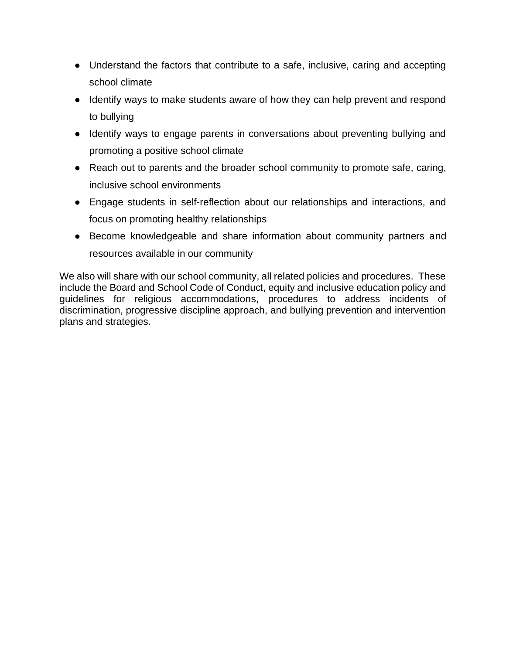- Understand the factors that contribute to a safe, inclusive, caring and accepting school climate
- Identify ways to make students aware of how they can help prevent and respond to bullying
- Identify ways to engage parents in conversations about preventing bullying and promoting a positive school climate
- Reach out to parents and the broader school community to promote safe, caring, inclusive school environments
- Engage students in self-reflection about our relationships and interactions, and focus on promoting healthy relationships
- Become knowledgeable and share information about community partners and resources available in our community

We also will share with our school community, all related policies and procedures. These include the Board and School Code of Conduct, equity and inclusive education policy and guidelines for religious accommodations, procedures to address incidents of discrimination, progressive discipline approach, and bullying prevention and intervention plans and strategies.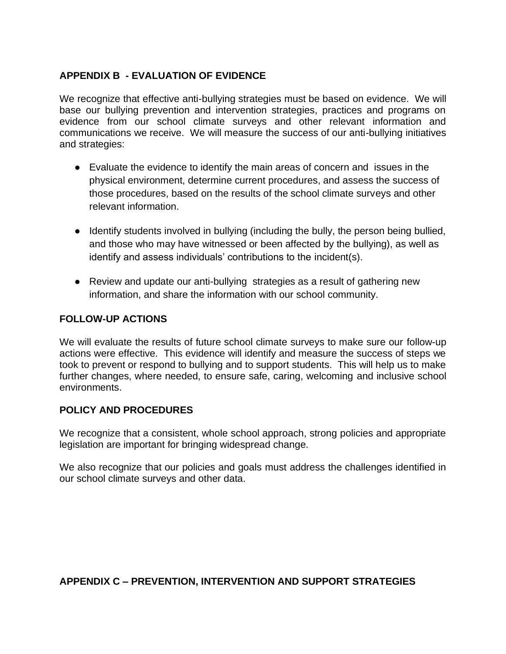#### **APPENDIX B - EVALUATION OF EVIDENCE**

We recognize that effective anti-bullying strategies must be based on evidence. We will base our bullying prevention and intervention strategies, practices and programs on evidence from our school climate surveys and other relevant information and communications we receive. We will measure the success of our anti-bullying initiatives and strategies:

- Evaluate the evidence to identify the main areas of concern and issues in the physical environment, determine current procedures, and assess the success of those procedures, based on the results of the school climate surveys and other relevant information.
- Identify students involved in bullying (including the bully, the person being bullied, and those who may have witnessed or been affected by the bullying), as well as identify and assess individuals' contributions to the incident(s).
- Review and update our anti-bullying strategies as a result of gathering new information, and share the information with our school community.

#### **FOLLOW-UP ACTIONS**

We will evaluate the results of future school climate surveys to make sure our follow-up actions were effective. This evidence will identify and measure the success of steps we took to prevent or respond to bullying and to support students. This will help us to make further changes, where needed, to ensure safe, caring, welcoming and inclusive school environments.

#### **POLICY AND PROCEDURES**

We recognize that a consistent, whole school approach, strong policies and appropriate legislation are important for bringing widespread change.

We also recognize that our policies and goals must address the challenges identified in our school climate surveys and other data.